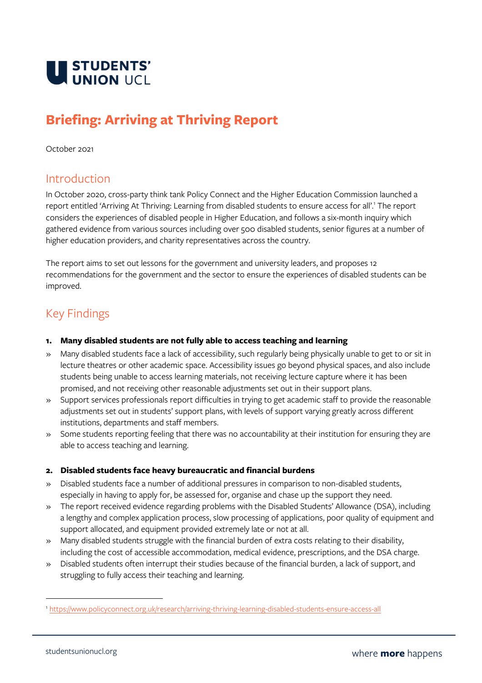

# **Briefing: Arriving at Thriving Report**

#### October 2021

### Introduction

In October 2020, cross-party think tank Policy Connect and the Higher Education Commission launched a report entitled 'Arriving At Thriving: Learning from disabled students to ensure access for all'.<sup>1</sup> The report considers the experiences of disabled people in Higher Education, and follows a six-month inquiry which gathered evidence from various sources including over 500 disabled students, senior figures at a number of higher education providers, and charity representatives across the country.

The report aims to set out lessons for the government and university leaders, and proposes 12 recommendations for the government and the sector to ensure the experiences of disabled students can be improved.

## Key Findings

#### **1. Many disabled students are not fully able to access teaching and learning**

- » Many disabled students face a lack of accessibility, such regularly being physically unable to get to or sit in lecture theatres or other academic space. Accessibility issues go beyond physical spaces, and also include students being unable to access learning materials, not receiving lecture capture where it has been promised, and not receiving other reasonable adjustments set out in their support plans.
- » Support services professionals report difficulties in trying to get academic staff to provide the reasonable adjustments set out in students' support plans, with levels of support varying greatly across different institutions, departments and staff members.
- » Some students reporting feeling that there was no accountability at their institution for ensuring they are able to access teaching and learning.

#### **2. Disabled students face heavy bureaucratic and financial burdens**

- » Disabled students face a number of additional pressures in comparison to non-disabled students, especially in having to apply for, be assessed for, organise and chase up the support they need.
- » The report received evidence regarding problems with the Disabled Students' Allowance (DSA), including a lengthy and complex application process, slow processing of applications, poor quality of equipment and support allocated, and equipment provided extremely late or not at all.
- » Many disabled students struggle with the financial burden of extra costs relating to their disability, including the cost of accessible accommodation, medical evidence, prescriptions, and the DSA charge.
- » Disabled students often interrupt their studies because of the financial burden, a lack of support, and struggling to fully access their teaching and learning.

<sup>1</sup> <https://www.policyconnect.org.uk/research/arriving-thriving-learning-disabled-students-ensure-access-all>